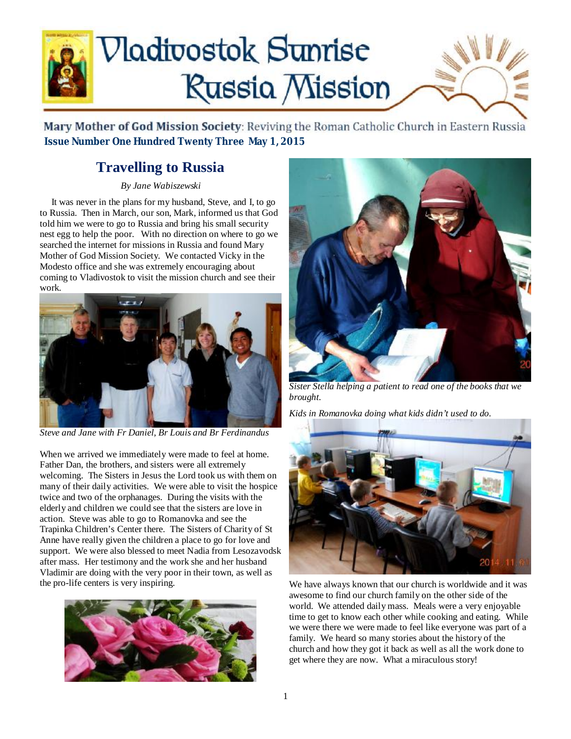

Mary Mother of God Mission Society: Reviving the Roman Catholic Church in Eastern Russia  **Issue Number One Hundred Twenty Three May 1, 2015**

### **Travelling to Russia**

*By Jane Wabiszewski* 

 It was never in the plans for my husband, Steve, and I, to go to Russia. Then in March, our son, Mark, informed us that God told him we were to go to Russia and bring his small security nest egg to help the poor. With no direction on where to go we searched the internet for missions in Russia and found Mary Mother of God Mission Society. We contacted Vicky in the Modesto office and she was extremely encouraging about coming to Vladivostok to visit the mission church and see their work.



*Steve and Jane with Fr Daniel, Br Louis and Br Ferdinandus* 

When we arrived we immediately were made to feel at home. Father Dan, the brothers, and sisters were all extremely welcoming. The Sisters in Jesus the Lord took us with them on many of their daily activities. We were able to visit the hospice twice and two of the orphanages. During the visits with the elderly and children we could see that the sisters are love in action. Steve was able to go to Romanovka and see the Trapinka Children's Center there. The Sisters of Charity of St Anne have really given the children a place to go for love and support. We were also blessed to meet Nadia from Lesozavodsk after mass. Her testimony and the work she and her husband Vladimir are doing with the very poor in their town, as well as the pro-life centers is very inspiring.





*Sister Stella helping a patient to read one of the books that we brought.*

*Kids in Romanovka doing what kids didn't used to do.* 



We have always known that our church is worldwide and it was awesome to find our church family on the other side of the world. We attended daily mass. Meals were a very enjoyable time to get to know each other while cooking and eating. While we were there we were made to feel like everyone was part of a family. We heard so many stories about the history of the church and how they got it back as well as all the work done to get where they are now. What a miraculous story!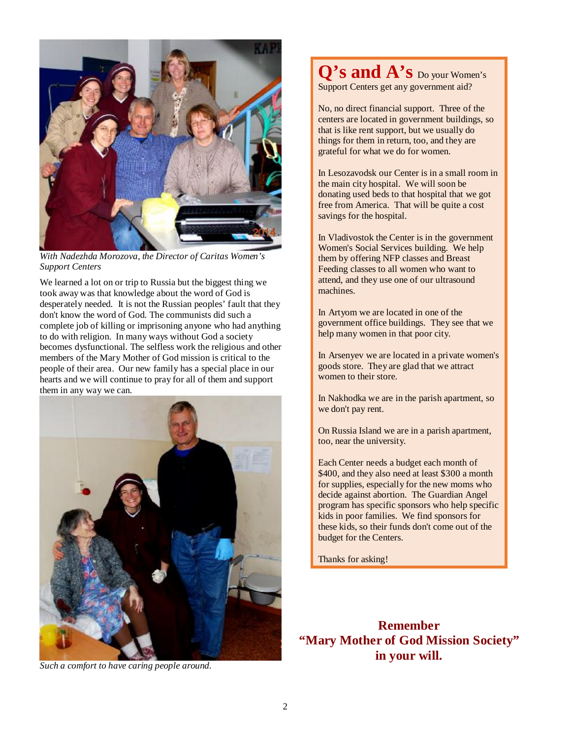

*With Nadezhda Morozova, the Director of Caritas Women's Support Centers* 

We learned a lot on or trip to Russia but the biggest thing we took away was that knowledge about the word of God is desperately needed. It is not the Russian peoples' fault that they don't know the word of God. The communists did such a complete job of killing or imprisoning anyone who had anything to do with religion. In many ways without God a society becomes dysfunctional. The selfless work the religious and other members of the Mary Mother of God mission is critical to the people of their area. Our new family has a special place in our hearts and we will continue to pray for all of them and support them in any way we can.



*Such a comfort to have caring people around.* 

**Q's and A's** Do your Women's Support Centers get any government aid?

No, no direct financial support. Three of the centers are located in government buildings, so that is like rent support, but we usually do things for them in return, too, and they are grateful for what we do for women.

In Lesozavodsk our Center is in a small room in the main city hospital. We will soon be donating used beds to that hospital that we got free from America. That will be quite a cost savings for the hospital.

In Vladivostok the Center is in the government Women's Social Services building. We help them by offering NFP classes and Breast Feeding classes to all women who want to attend, and they use one of our ultrasound machines.

In Artyom we are located in one of the government office buildings. They see that we help many women in that poor city.

In Arsenyev we are located in a private women's goods store. They are glad that we attract women to their store.

In Nakhodka we are in the parish apartment, so we don't pay rent.

On Russia Island we are in a parish apartment, too, near the university.

Each Center needs a budget each month of \$400, and they also need at least \$300 a month for supplies, especially for the new moms who decide against abortion. The Guardian Angel program has specific sponsors who help specific kids in poor families. We find sponsors for these kids, so their funds don't come out of the budget for the Centers.

Thanks for asking!

**Remember "Mary Mother of God Mission Society" in your will.**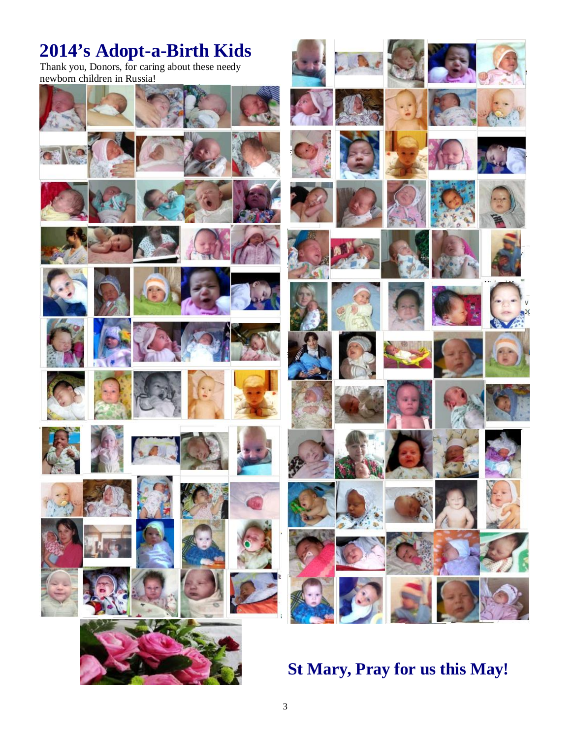## **2014's Adopt-a-Birth Kids**

Thank you, Donors, for caring about these needy



### **St Mary, Pray for us this May!**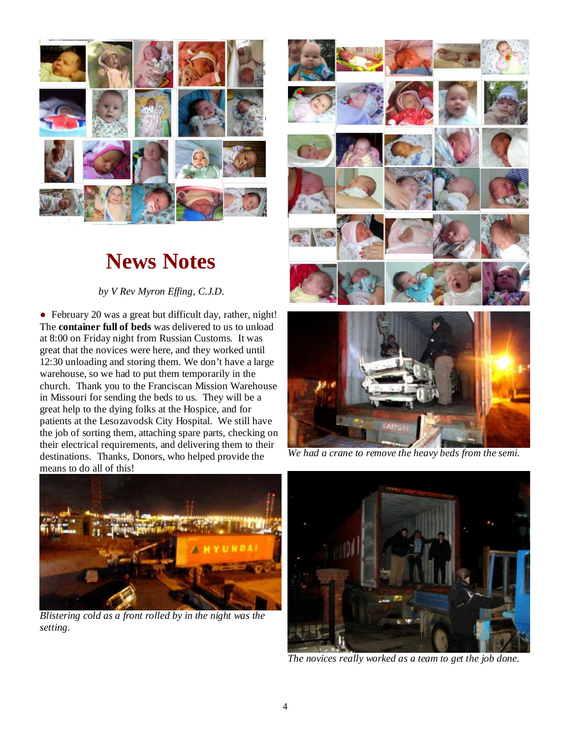

# **News Notes**

*by V Rev Myron Effing, C.J.D.* 

• February 20 was a great but difficult day, rather, night! The **container full of beds** was delivered to us to unload at 8:00 on Friday night from Russian Customs. It was great that the novices were here, and they worked until 12:30 unloading and storing them. We don't have a large warehouse, so we had to put them temporarily in the church. Thank you to the Franciscan Mission Warehouse in Missouri for sending the beds to us. They will be a great help to the dying folks at the Hospice, and for patients at the Lesozavodsk City Hospital. We still have the job of sorting them, attaching spare parts, checking on their electrical requirements, and delivering them to their destinations. Thanks, Donors, who helped provide the means to do all of this!



*We had a crane to remove the heavy beds from the semi.* 



*Blistering cold as a front rolled by in the night was the setting.* 



*The novices really worked as a team to get the job done.*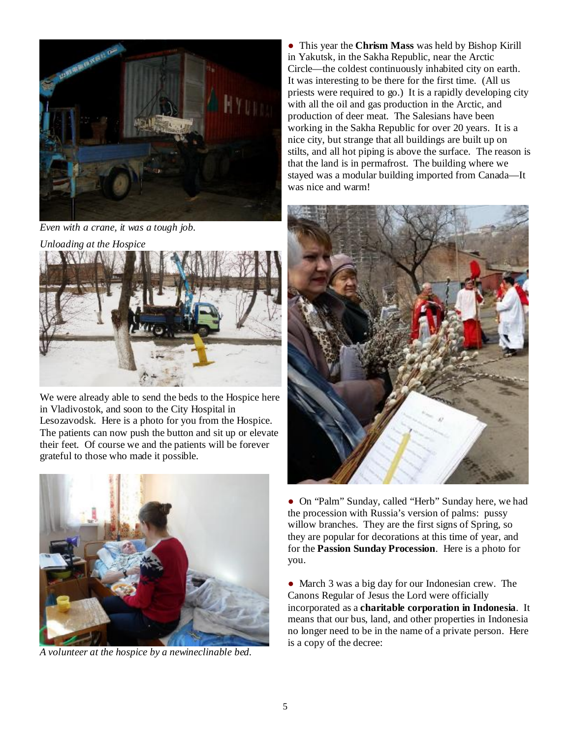

*Even with a crane, it was a tough job.* 

*Unloading at the Hospice* 



We were already able to send the beds to the Hospice here in Vladivostok, and soon to the City Hospital in Lesozavodsk. Here is a photo for you from the Hospice. The patients can now push the button and sit up or elevate their feet. Of course we and the patients will be forever grateful to those who made it possible.



*A volunteer at the hospice by a newineclinable bed.* 

● This year the **Chrism Mass** was held by Bishop Kirill in Yakutsk, in the Sakha Republic, near the Arctic Circle—the coldest continuously inhabited city on earth. It was interesting to be there for the first time. (All us priests were required to go.) It is a rapidly developing city with all the oil and gas production in the Arctic, and production of deer meat. The Salesians have been working in the Sakha Republic for over 20 years. It is a nice city, but strange that all buildings are built up on stilts, and all hot piping is above the surface. The reason is that the land is in permafrost. The building where we stayed was a modular building imported from Canada—It was nice and warm!



● On "Palm" Sunday, called "Herb" Sunday here, we had the procession with Russia's version of palms: pussy willow branches. They are the first signs of Spring, so they are popular for decorations at this time of year, and for the **Passion Sunday Procession**. Here is a photo for you.

• March 3 was a big day for our Indonesian crew. The Canons Regular of Jesus the Lord were officially incorporated as a **charitable corporation in Indonesia**. It means that our bus, land, and other properties in Indonesia no longer need to be in the name of a private person. Here is a copy of the decree: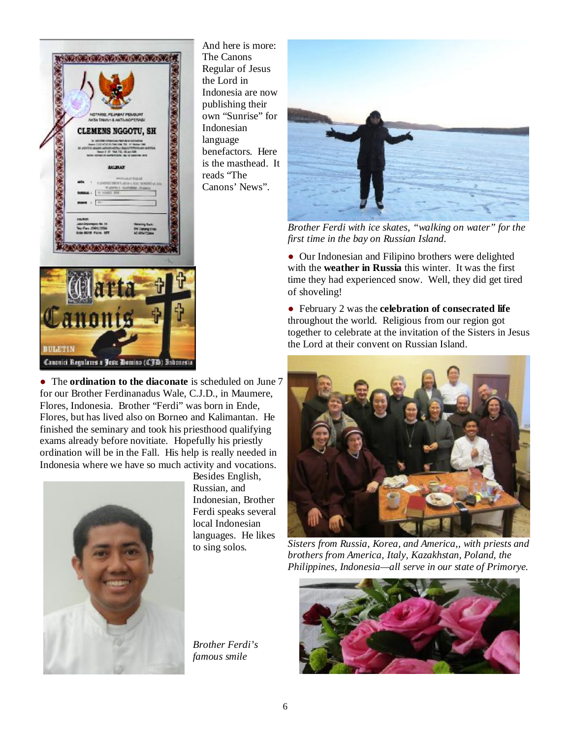

And here is more: The Canons Regular of Jesus the Lord in Indonesia are now publishing their own "Sunrise" for Indonesian language benefactors. Here is the masthead. It reads "The Canons' News".



*Brother Ferdi with ice skates, "walking on water" for the first time in the bay on Russian Island.* 

● Our Indonesian and Filipino brothers were delighted with the **weather in Russia** this winter. It was the first time they had experienced snow. Well, they did get tired of shoveling!

● February 2 was the **celebration of consecrated life** throughout the world. Religious from our region got together to celebrate at the invitation of the Sisters in Jesus the Lord at their convent on Russian Island.



*Sisters from Russia, Korea, and America,, with priests and brothers from America, Italy, Kazakhstan, Poland, the Philippines, Indonesia—all serve in our state of Primorye.* 



● The **ordination to the diaconate** is scheduled on June 7 for our Brother Ferdinanadus Wale, C.J.D., in Maumere, Flores, Indonesia. Brother "Ferdi" was born in Ende, Flores, but has lived also on Borneo and Kalimantan. He finished the seminary and took his priesthood qualifying exams already before novitiate. Hopefully his priestly ordination will be in the Fall. His help is really needed in Indonesia where we have so much activity and vocations.



Besides English, Russian, and Indonesian, Brother Ferdi speaks several local Indonesian languages. He likes to sing solos.

*Brother Ferdi's famous smile*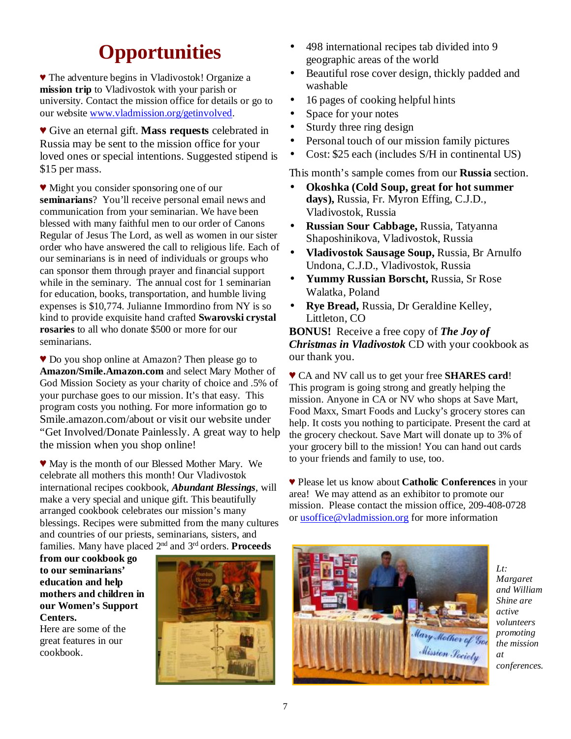## **Opportunities**

♥ The adventure begins in Vladivostok! Organize a **mission trip** to Vladivostok with your parish or university. Contact the mission office for details or go to our website [www.vladmission.org/getinvolved](http://www.vladmission.org/getinvolved).

♥ Give an eternal gift. **Mass requests** celebrated in Russia may be sent to the mission office for your loved ones or special intentions. Suggested stipend is \$15 per mass.

♥ Might you consider sponsoring one of our **seminarians**? You'll receive personal email news and communication from your seminarian. We have been blessed with many faithful men to our order of Canons Regular of Jesus The Lord, as well as women in our sister order who have answered the call to religious life. Each of our seminarians is in need of individuals or groups who can sponsor them through prayer and financial support while in the seminary. The annual cost for 1 seminarian for education, books, transportation, and humble living expenses is \$10,774. Julianne Immordino from NY is so kind to provide exquisite hand crafted **Swarovski crystal rosaries** to all who donate \$500 or more for our seminarians.

♥ Do you shop online at Amazon? Then please go to **Amazon/Smile.Amazon.com** and select Mary Mother of God Mission Society as your charity of choice and .5% of your purchase goes to our mission. It's that easy. This program costs you nothing. For more information go to Smile.amazon.com/about or visit our website under "Get Involved/Donate Painlessly. A great way to help the mission when you shop online!

♥ May is the month of our Blessed Mother Mary. We celebrate all mothers this month! Our Vladivostok international recipes cookbook, *Abundant Blessings*, will make a very special and unique gift. This beautifully arranged cookbook celebrates our mission's many blessings. Recipes were submitted from the many cultures and countries of our priests, seminarians, sisters, and families. Many have placed 2nd and 3rd orders. **Proceeds** 

**from our cookbook go to our seminarians' education and help mothers and children in our Women's Support Centers.** 

Here are some of the great features in our cookbook.



- 498 international recipes tab divided into 9 geographic areas of the world
- Beautiful rose cover design, thickly padded and ł, washable
- 16 pages of cooking helpful hints ÷.
- Space for your notes
- Sturdy three ring design
- Personal touch of our mission family pictures
- Cost: \$25 each (includes S/H in continental US)

This month's sample comes from our **Russia** section.

- **Okoshka (Cold Soup, great for hot summer days),** Russia, Fr. Myron Effing, C.J.D., Vladivostok, Russia
- **Russian Sour Cabbage,** Russia, Tatyanna Shaposhinikova, Vladivostok, Russia
- **Vladivostok Sausage Soup,** Russia, Br Arnulfo Undona, C.J.D., Vladivostok, Russia
- **Yummy Russian Borscht,** Russia, Sr Rose Walatka, Poland
- **Rye Bread,** Russia, Dr Geraldine Kelley, Littleton, CO

**BONUS!** Receive a free copy of *The Joy of Christmas in Vladivostok* CD with your cookbook as our thank you.

♥ CA and NV call us to get your free **SHARES card**! This program is going strong and greatly helping the mission. Anyone in CA or NV who shops at Save Mart, Food Maxx, Smart Foods and Lucky's grocery stores can help. It costs you nothing to participate. Present the card at the grocery checkout. Save Mart will donate up to 3% of your grocery bill to the mission! You can hand out cards to your friends and family to use, too.

♥ Please let us know about **Catholic Conferences** in your area! We may attend as an exhibitor to promote our mission. Please contact the mission office, 209-408-0728 or [usoffice@vladmission.org](mailto:usoffice@vladmission.org) for more information



*Lt: Margaret and William Shine are active volunteers promoting the mission at conferences.*